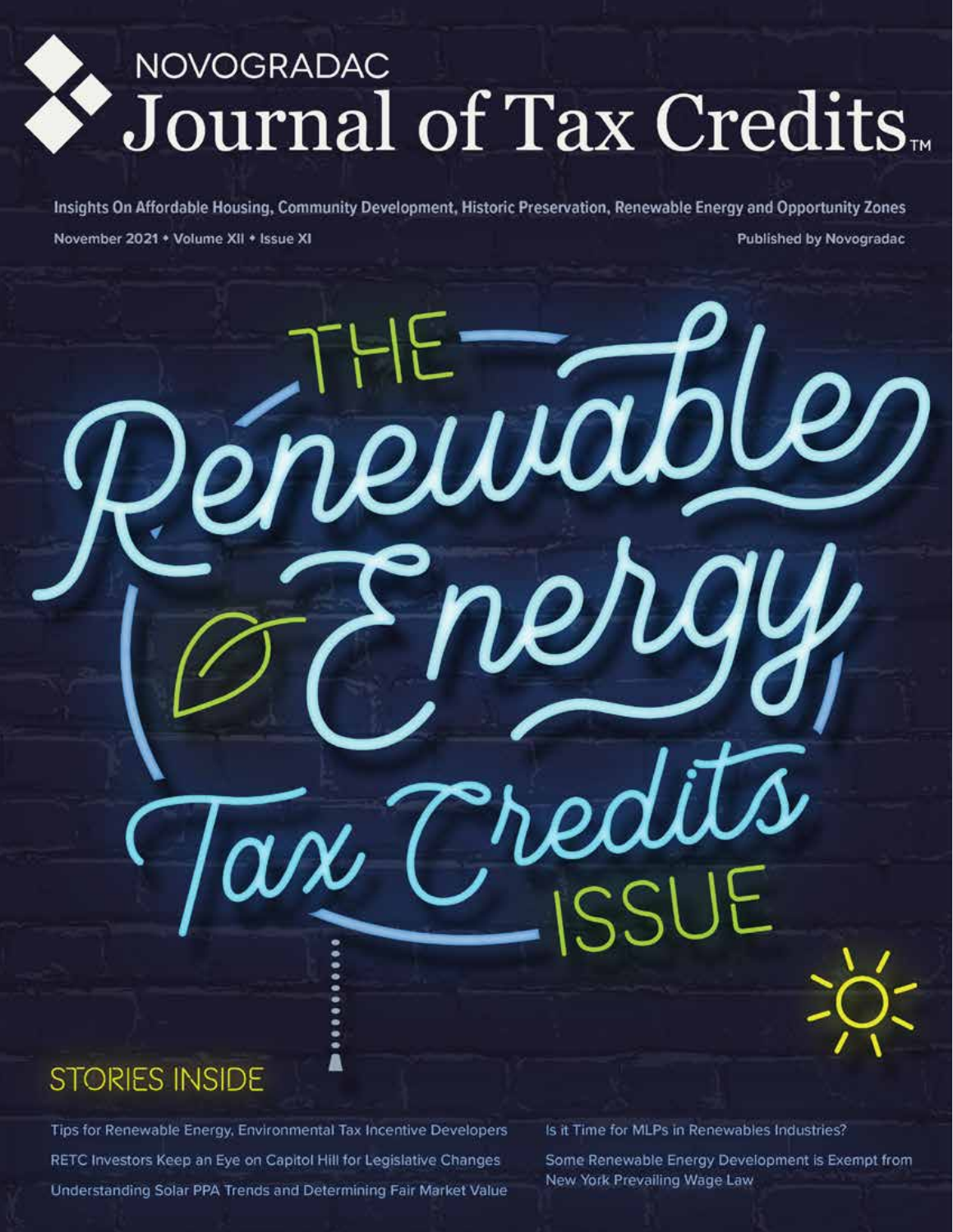# NOVOGRADAC<br>Journal of Tax Credits

Insights On Affordable Housing, Community Development, Historic Preservation, Renewable Energy and Opportunity Zones November 2021 + Volume XII + Issue XI **Published by Novogradac** 

enewables

onen

me/

# **STORIES INSIDE**

Tips for Renewable Energy, Environmental Tax Incentive Developers RETC Investors Keep an Eye on Capitol Hill for Legislative Changes Understanding Solar PPA Trends and Determining Fair Market Value Is it Time for MLPs in Renewables Industries?

Some Renewable Energy Development is Exempt from New York Prevailing Wage Law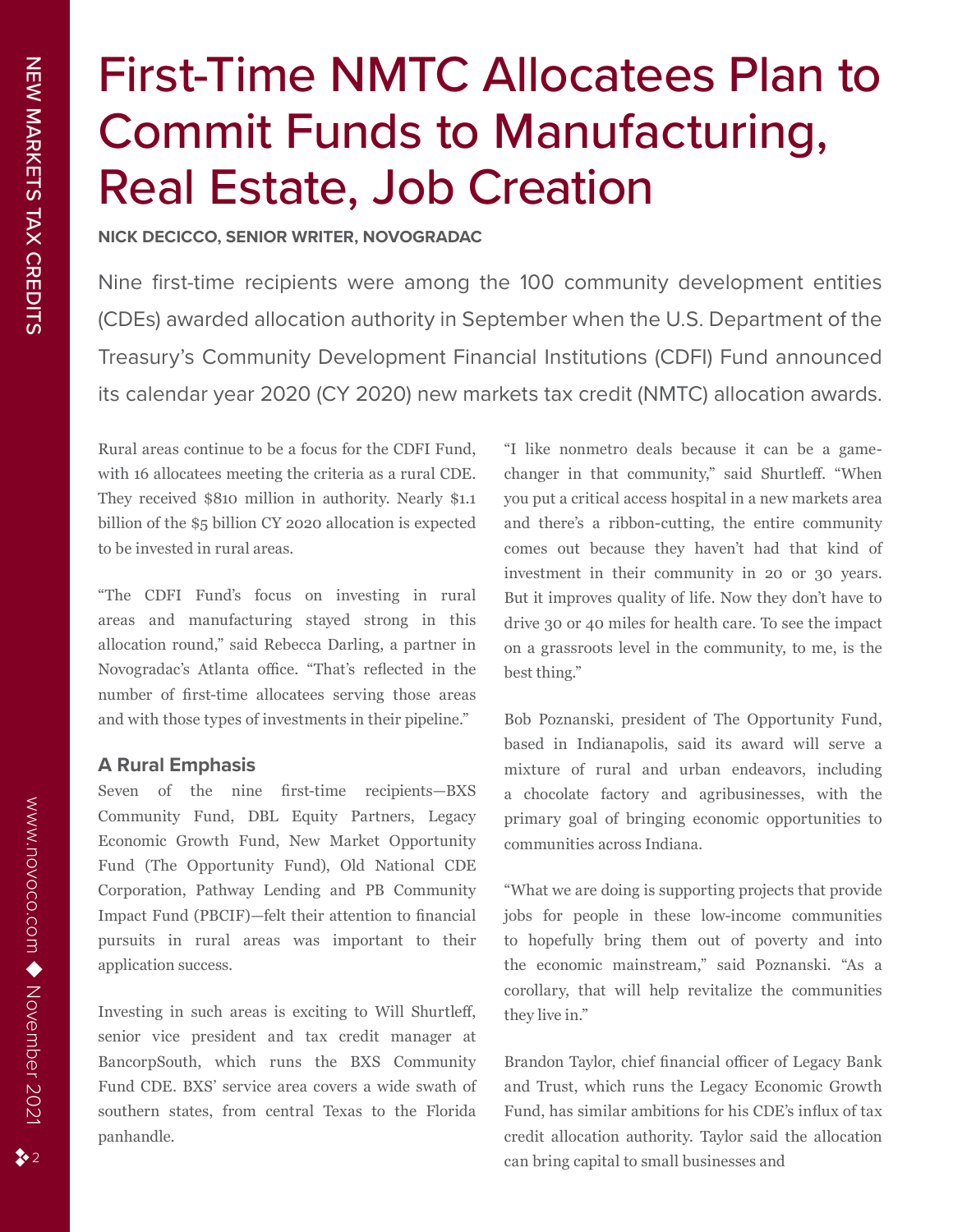# First-Time NMTC Allocatees Plan to Commit Funds to Manufacturing, Real Estate, Job Creation

**NICK DECICCO, SENIOR WRITER, NOVOGRADAC**

Nine first-time recipients were among the 100 community development entities (CDEs) awarded allocation authority in September when the U.S. Department of the Treasury's Community Development Financial Institutions (CDFI) Fund announced its calendar year 2020 (CY 2020) new markets tax credit (NMTC) allocation awards.

Rural areas continue to be a focus for the CDFI Fund, with 16 allocatees meeting the criteria as a rural CDE. They received \$810 million in authority. Nearly \$1.1 billion of the \$5 billion CY 2020 allocation is expected to be invested in rural areas.

"The CDFI Fund's focus on investing in rural areas and manufacturing stayed strong in this allocation round," said Rebecca Darling, a partner in Novogradac's Atlanta office. "That's reflected in the number of first-time allocatees serving those areas and with those types of investments in their pipeline."

# **A Rural Emphasis**

Seven of the nine first-time recipients—BXS Community Fund, DBL Equity Partners, Legacy Economic Growth Fund, New Market Opportunity Fund (The Opportunity Fund), Old National CDE Corporation, Pathway Lending and PB Community Impact Fund (PBCIF)—felt their attention to financial pursuits in rural areas was important to their application success.

Investing in such areas is exciting to Will Shurtleff, senior vice president and tax credit manager at BancorpSouth, which runs the BXS Community Fund CDE. BXS' service area covers a wide swath of southern states, from central Texas to the Florida panhandle.

"I like nonmetro deals because it can be a gamechanger in that community," said Shurtleff. "When you put a critical access hospital in a new markets area and there's a ribbon-cutting, the entire community comes out because they haven't had that kind of investment in their community in 20 or 30 years. But it improves quality of life. Now they don't have to drive 30 or 40 miles for health care. To see the impact on a grassroots level in the community, to me, is the best thing."

Bob Poznanski, president of The Opportunity Fund, based in Indianapolis, said its award will serve a mixture of rural and urban endeavors, including a chocolate factory and agribusinesses, with the primary goal of bringing economic opportunities to communities across Indiana.

"What we are doing is supporting projects that provide jobs for people in these low-income communities to hopefully bring them out of poverty and into the economic mainstream," said Poznanski. "As a corollary, that will help revitalize the communities they live in."

Brandon Taylor, chief financial officer of Legacy Bank and Trust, which runs the Legacy Economic Growth Fund, has similar ambitions for his CDE's influx of tax credit allocation authority. Taylor said the allocation can bring capital to small businesses and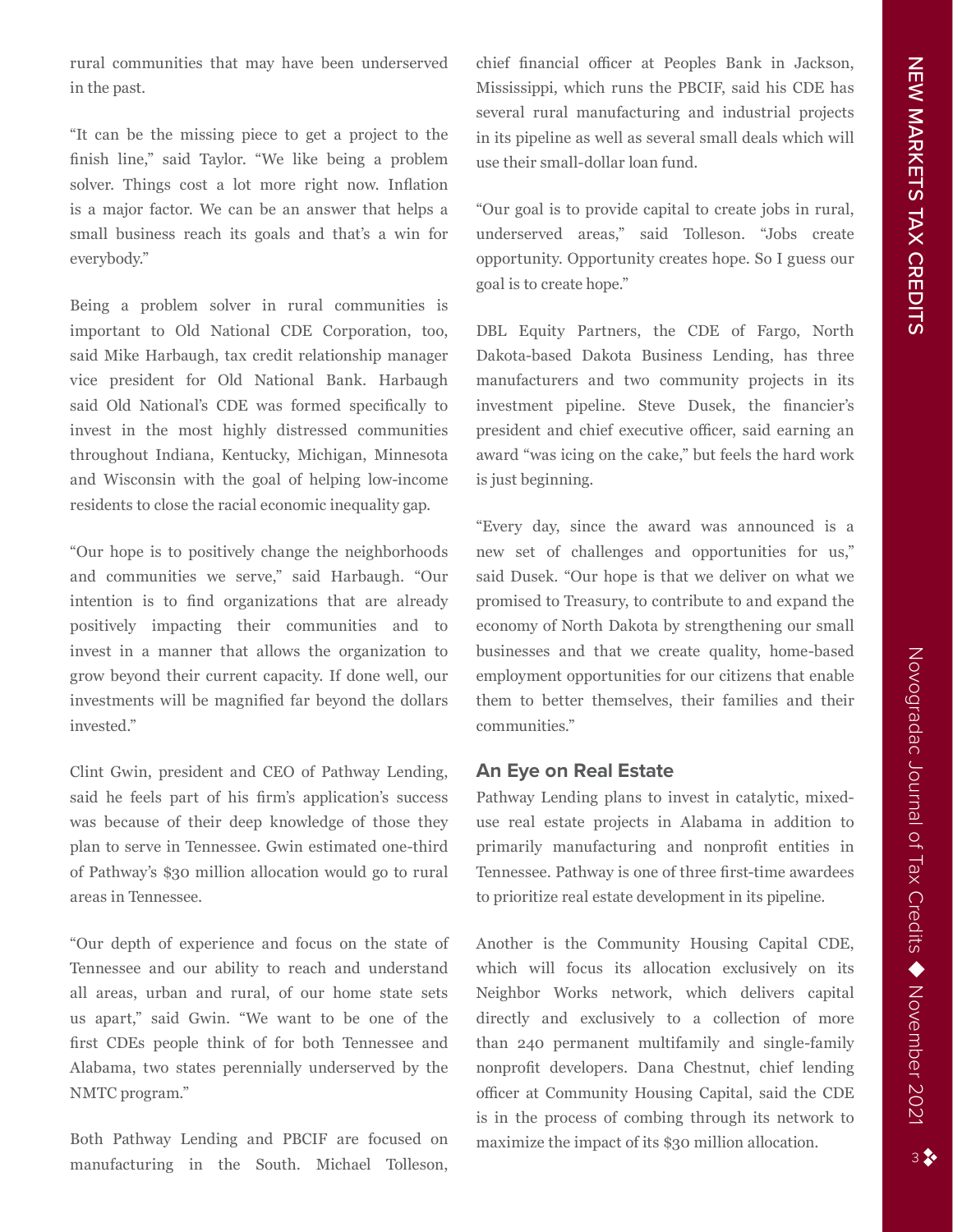rural communities that may have been underserved in the past.

"It can be the missing piece to get a project to the finish line," said Taylor. "We like being a problem solver. Things cost a lot more right now. Inflation is a major factor. We can be an answer that helps a small business reach its goals and that's a win for everybody."

Being a problem solver in rural communities is important to Old National CDE Corporation, too, said Mike Harbaugh, tax credit relationship manager vice president for Old National Bank. Harbaugh said Old National's CDE was formed specifically to invest in the most highly distressed communities throughout Indiana, Kentucky, Michigan, Minnesota and Wisconsin with the goal of helping low-income residents to close the racial economic inequality gap.

"Our hope is to positively change the neighborhoods and communities we serve," said Harbaugh. "Our intention is to find organizations that are already positively impacting their communities and to invest in a manner that allows the organization to grow beyond their current capacity. If done well, our investments will be magnified far beyond the dollars invested."

Clint Gwin, president and CEO of Pathway Lending, said he feels part of his firm's application's success was because of their deep knowledge of those they plan to serve in Tennessee. Gwin estimated one-third of Pathway's \$30 million allocation would go to rural areas in Tennessee.

"Our depth of experience and focus on the state of Tennessee and our ability to reach and understand all areas, urban and rural, of our home state sets us apart," said Gwin. "We want to be one of the first CDEs people think of for both Tennessee and Alabama, two states perennially underserved by the NMTC program."

Both Pathway Lending and PBCIF are focused on manufacturing in the South. Michael Tolleson, chief financial officer at Peoples Bank in Jackson, Mississippi, which runs the PBCIF, said his CDE has several rural manufacturing and industrial projects in its pipeline as well as several small deals which will use their small-dollar loan fund.

"Our goal is to provide capital to create jobs in rural, underserved areas," said Tolleson. "Jobs create opportunity. Opportunity creates hope. So I guess our goal is to create hope."

DBL Equity Partners, the CDE of Fargo, North Dakota-based Dakota Business Lending, has three manufacturers and two community projects in its investment pipeline. Steve Dusek, the financier's president and chief executive officer, said earning an award "was icing on the cake," but feels the hard work is just beginning.

"Every day, since the award was announced is a new set of challenges and opportunities for us," said Dusek. "Our hope is that we deliver on what we promised to Treasury, to contribute to and expand the economy of North Dakota by strengthening our small businesses and that we create quality, home-based employment opportunities for our citizens that enable them to better themselves, their families and their communities."

# **An Eye on Real Estate**

Pathway Lending plans to invest in catalytic, mixeduse real estate projects in Alabama in addition to primarily manufacturing and nonprofit entities in Tennessee. Pathway is one of three first-time awardees to prioritize real estate development in its pipeline.

Another is the Community Housing Capital CDE, which will focus its allocation exclusively on its Neighbor Works network, which delivers capital directly and exclusively to a collection of more than 240 permanent multifamily and single-family nonprofit developers. Dana Chestnut, chief lending officer at Community Housing Capital, said the CDE is in the process of combing through its network to maximize the impact of its \$30 million allocation.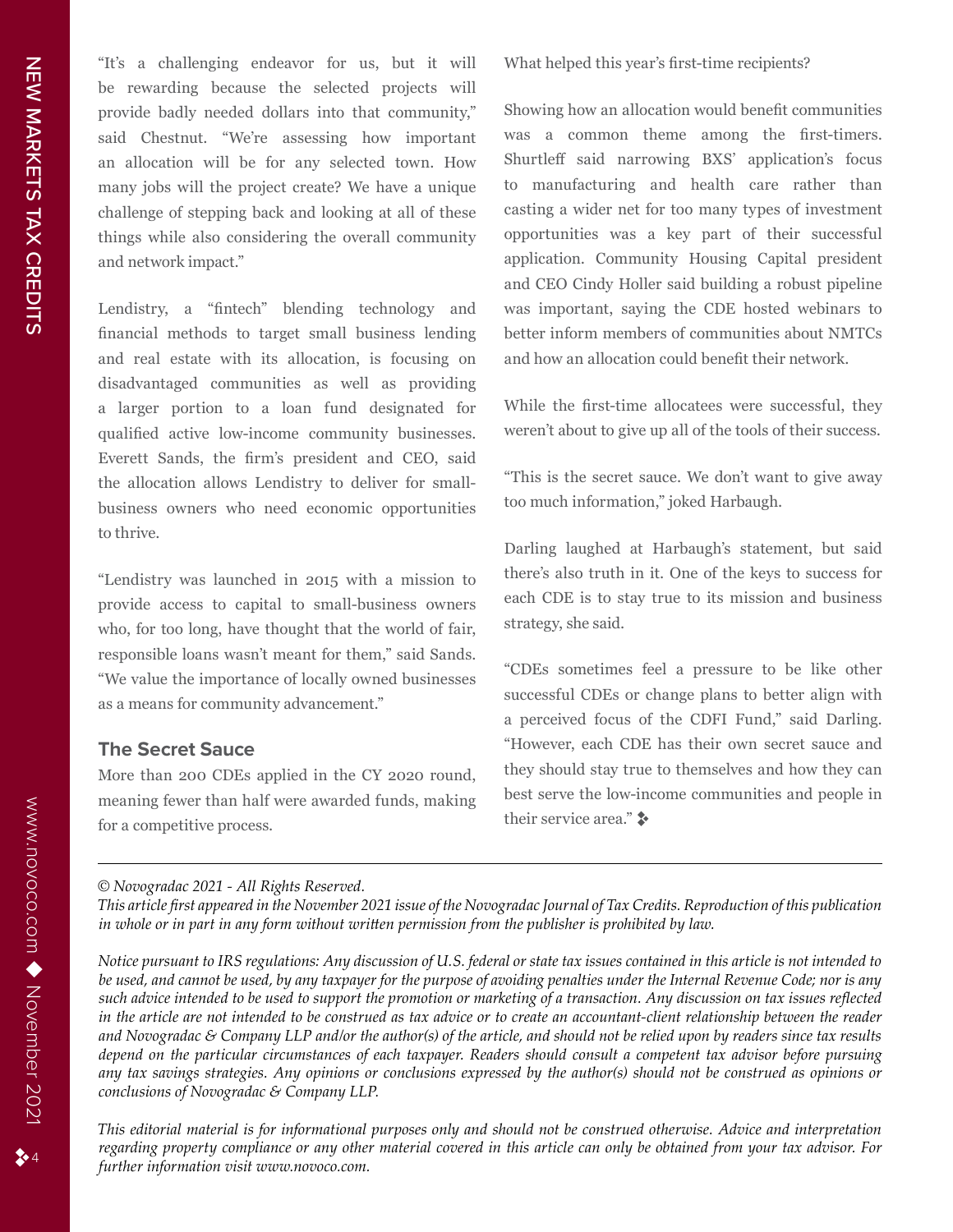"It's a challenging endeavor for us, but it will be rewarding because the selected projects will provide badly needed dollars into that community," said Chestnut. "We're assessing how important an allocation will be for any selected town. How many jobs will the project create? We have a unique challenge of stepping back and looking at all of these things while also considering the overall community and network impact."

Lendistry, a "fintech" blending technology and financial methods to target small business lending and real estate with its allocation, is focusing on disadvantaged communities as well as providing a larger portion to a loan fund designated for qualified active low-income community businesses. Everett Sands, the firm's president and CEO, said the allocation allows Lendistry to deliver for smallbusiness owners who need economic opportunities to thrive.

"Lendistry was launched in 2015 with a mission to provide access to capital to small-business owners who, for too long, have thought that the world of fair, responsible loans wasn't meant for them," said Sands. "We value the importance of locally owned businesses as a means for community advancement."

# **The Secret Sauce**

More than 200 CDEs applied in the CY 2020 round, meaning fewer than half were awarded funds, making for a competitive process.

What helped this year's first-time recipients?

Showing how an allocation would benefit communities was a common theme among the first-timers. Shurtleff said narrowing BXS' application's focus to manufacturing and health care rather than casting a wider net for too many types of investment opportunities was a key part of their successful application. Community Housing Capital president and CEO Cindy Holler said building a robust pipeline was important, saying the CDE hosted webinars to better inform members of communities about NMTCs and how an allocation could benefit their network.

While the first-time allocatees were successful, they weren't about to give up all of the tools of their success.

"This is the secret sauce. We don't want to give away too much information," joked Harbaugh.

Darling laughed at Harbaugh's statement, but said there's also truth in it. One of the keys to success for each CDE is to stay true to its mission and business strategy, she said.

"CDEs sometimes feel a pressure to be like other successful CDEs or change plans to better align with a perceived focus of the CDFI Fund," said Darling. "However, each CDE has their own secret sauce and they should stay true to themselves and how they can best serve the low-income communities and people in their service area."  $\rightarrow$ 

*© Novogradac 2021 - All Rights Reserved.* 

*This article first appeared in the November 2021 issue of the Novogradac Journal of Tax Credits. Reproduction of this publication in whole or in part in any form without written permission from the publisher is prohibited by law.*

*Notice pursuant to IRS regulations: Any discussion of U.S. federal or state tax issues contained in this article is not intended to be used, and cannot be used, by any taxpayer for the purpose of avoiding penalties under the Internal Revenue Code; nor is any such advice intended to be used to support the promotion or marketing of a transaction. Any discussion on tax issues reflected in the article are not intended to be construed as tax advice or to create an accountant-client relationship between the reader and Novogradac & Company LLP and/or the author(s) of the article, and should not be relied upon by readers since tax results depend on the particular circumstances of each taxpayer. Readers should consult a competent tax advisor before pursuing any tax savings strategies. Any opinions or conclusions expressed by the author(s) should not be construed as opinions or conclusions of Novogradac & Company LLP.* 

*This editorial material is for informational purposes only and should not be construed otherwise. Advice and interpretation regarding property compliance or any other material covered in this article can only be obtained from your tax advisor. For further information visit www.novoco.com.*

 $24$